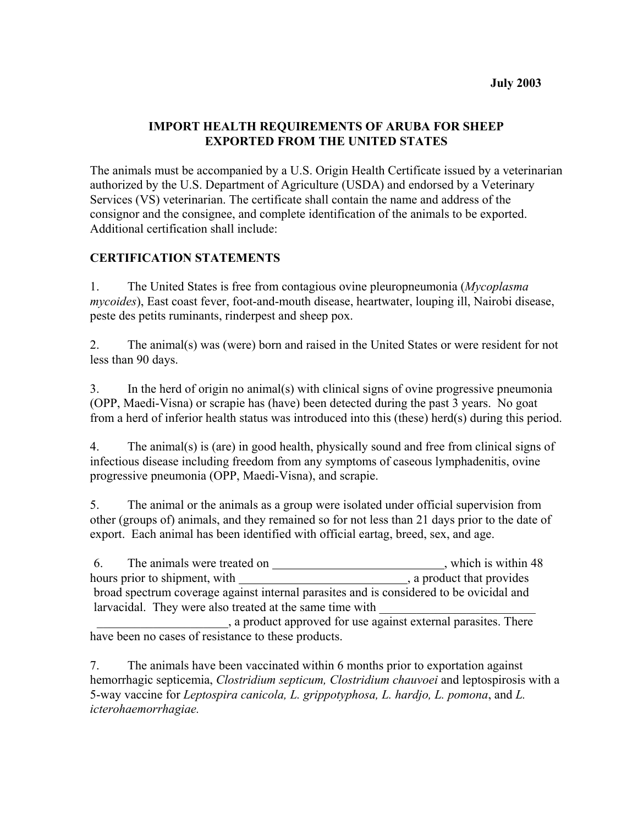### **IMPORT HEALTH REQUIREMENTS OF ARUBA FOR SHEEP EXPORTED FROM THE UNITED STATES**

The animals must be accompanied by a U.S. Origin Health Certificate issued by a veterinarian authorized by the U.S. Department of Agriculture (USDA) and endorsed by a Veterinary Services (VS) veterinarian. The certificate shall contain the name and address of the consignor and the consignee, and complete identification of the animals to be exported. Additional certification shall include:

### **CERTIFICATION STATEMENTS**

1. The United States is free from contagious ovine pleuropneumonia (*Mycoplasma mycoides*), East coast fever, foot-and-mouth disease, heartwater, louping ill, Nairobi disease, peste des petits ruminants, rinderpest and sheep pox.

2. The animal(s) was (were) born and raised in the United States or were resident for not less than 90 days.

3. In the herd of origin no animal(s) with clinical signs of ovine progressive pneumonia (OPP, Maedi-Visna) or scrapie has (have) been detected during the past 3 years. No goat from a herd of inferior health status was introduced into this (these) herd(s) during this period.

4. The animal(s) is (are) in good health, physically sound and free from clinical signs of infectious disease including freedom from any symptoms of caseous lymphadenitis, ovine progressive pneumonia (OPP, Maedi-Visna), and scrapie.

5. The animal or the animals as a group were isolated under official supervision from other (groups of) animals, and they remained so for not less than 21 days prior to the date of export. Each animal has been identified with official eartag, breed, sex, and age.

6. The animals were treated on \_\_\_\_\_\_\_\_\_\_\_\_\_\_\_\_\_\_\_\_\_\_\_\_\_\_\_\_\_\_\_, which is within 48 hours prior to shipment, with , a product that provides broad spectrum coverage against internal parasites and is considered to be ovicidal and larvacidal. They were also treated at the same time with

 \_\_\_\_\_\_\_\_\_\_\_\_\_\_\_\_\_\_\_\_\_, a product approved for use against external parasites. There have been no cases of resistance to these products.

7. The animals have been vaccinated within 6 months prior to exportation against hemorrhagic septicemia, *Clostridium septicum, Clostridium chauvoei* and leptospirosis with a 5-way vaccine for *Leptospira canicola, L. grippotyphosa, L. hardjo, L. pomona*, and *L. icterohaemorrhagiae.*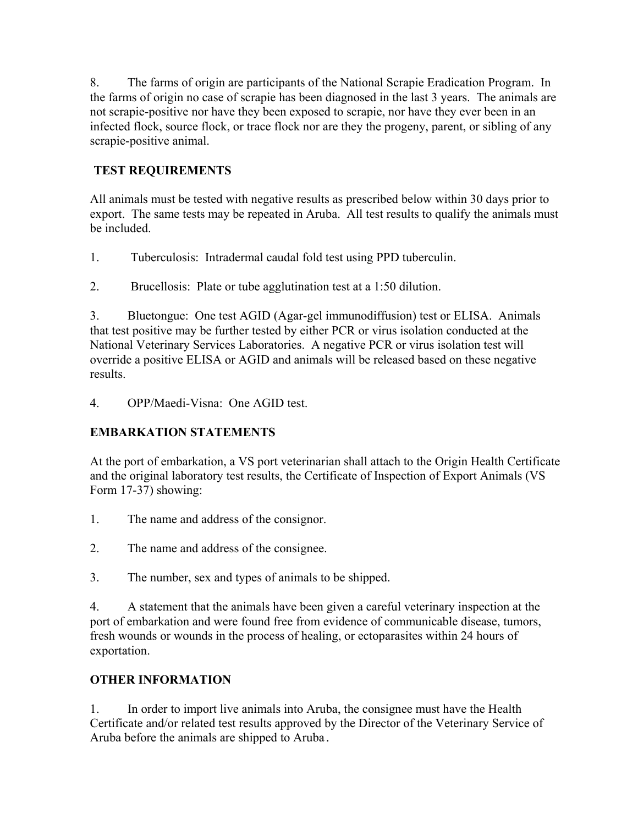8. The farms of origin are participants of the National Scrapie Eradication Program. In the farms of origin no case of scrapie has been diagnosed in the last 3 years. The animals are not scrapie-positive nor have they been exposed to scrapie, nor have they ever been in an infected flock, source flock, or trace flock nor are they the progeny, parent, or sibling of any scrapie-positive animal.

# **TEST REQUIREMENTS**

All animals must be tested with negative results as prescribed below within 30 days prior to export. The same tests may be repeated in Aruba. All test results to qualify the animals must be included.

1. Tuberculosis: Intradermal caudal fold test using PPD tuberculin.

2. Brucellosis: Plate or tube agglutination test at a 1:50 dilution.

3. Bluetongue: One test AGID (Agar-gel immunodiffusion) test or ELISA. Animals that test positive may be further tested by either PCR or virus isolation conducted at the National Veterinary Services Laboratories. A negative PCR or virus isolation test will override a positive ELISA or AGID and animals will be released based on these negative results.

4. OPP/Maedi-Visna: One AGID test.

# **EMBARKATION STATEMENTS**

At the port of embarkation, a VS port veterinarian shall attach to the Origin Health Certificate and the original laboratory test results, the Certificate of Inspection of Export Animals (VS Form 17-37) showing:

- 1. The name and address of the consignor.
- 2. The name and address of the consignee.
- 3. The number, sex and types of animals to be shipped.

 4. A statement that the animals have been given a careful veterinary inspection at the port of embarkation and were found free from evidence of communicable disease, tumors, fresh wounds or wounds in the process of healing, or ectoparasites within 24 hours of exportation.

# **OTHER INFORMATION**

1. In order to import live animals into Aruba, the consignee must have the Health Certificate and/or related test results approved by the Director of the Veterinary Service of Aruba before the animals are shipped to Aruba.